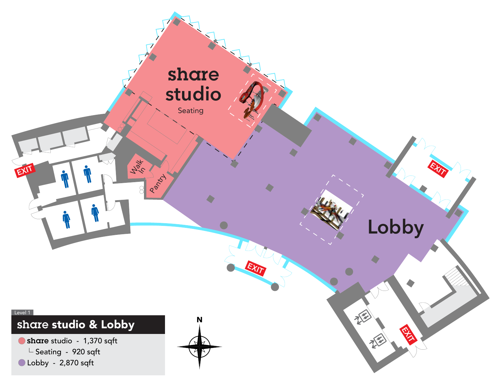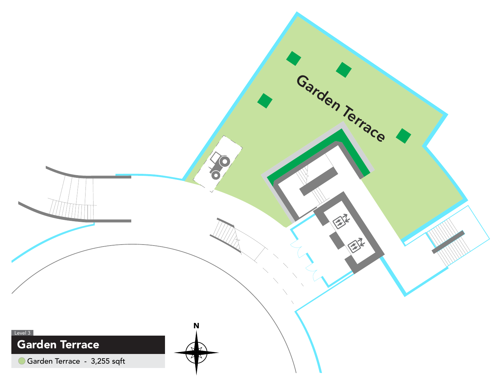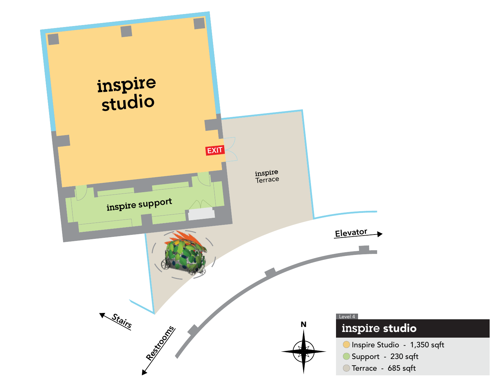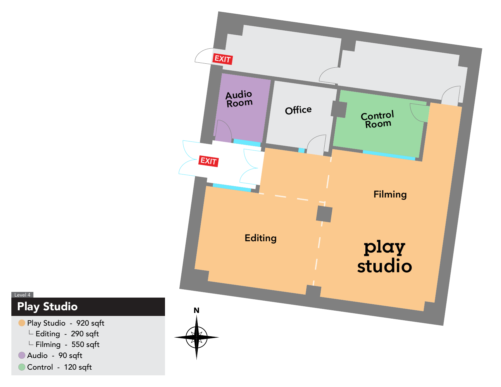

Play Studio Level 4

Play Studio - 920 sqft

 $L$  Editing - 290 sqft

 $\overline{\phantom{a}}$  Filming - 550 sqft

Audio - 90 sqft

Control - 120 sqft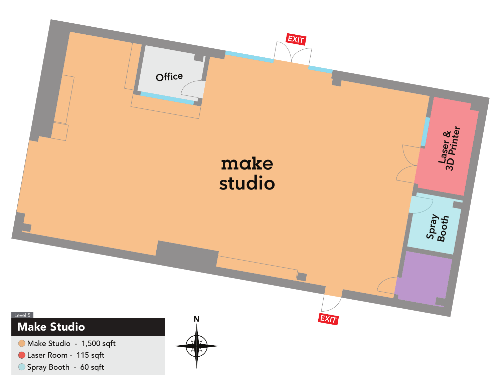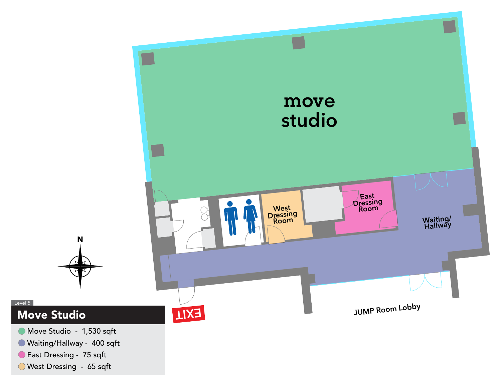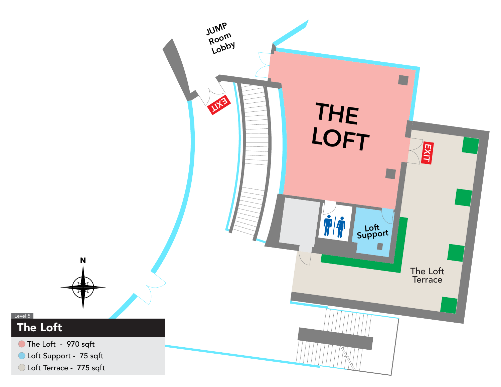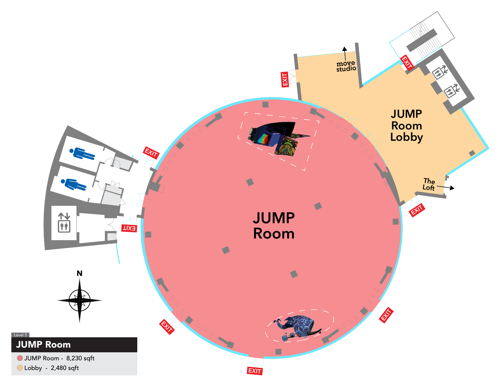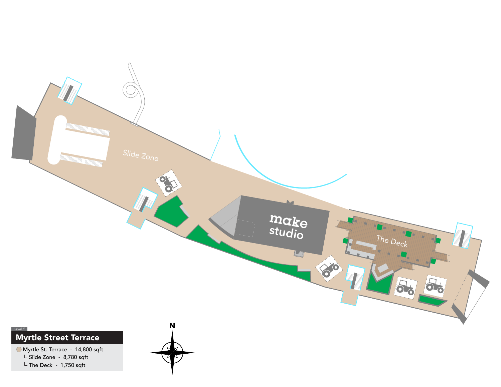